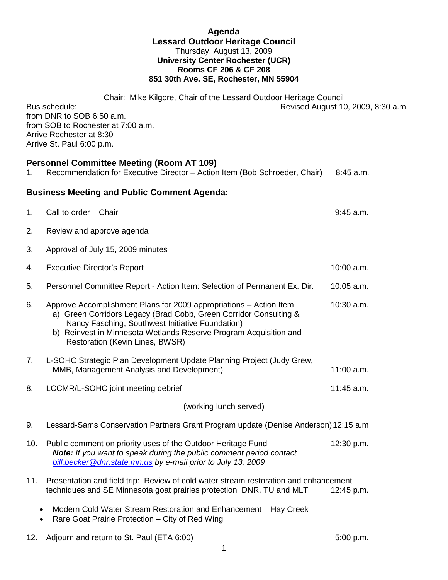## **Agenda Lessard Outdoor Heritage Council** Thursday, August 13, 2009 **University Center Rochester (UCR) Rooms CF 206 & CF 208 851 30th Ave. SE, Rochester, MN 55904**

Chair: Mike Kilgore, Chair of the Lessard Outdoor Heritage Council Bus schedule: Revised August 10, 2009, 8:30 a.m. from DNR to SOB 6:50 a.m. from SOB to Rochester at 7:00 a.m. Arrive Rochester at 8:30 Arrive St. Paul 6:00 p.m.

## **Personnel Committee Meeting (Room AT 109)**

| 1.                                                 | Personnel Committee Meeting (Room AT 109)<br>Recommendation for Executive Director - Action Item (Bob Schroeder, Chair)                                                                                                                                                                             | $8:45$ a.m. |
|----------------------------------------------------|-----------------------------------------------------------------------------------------------------------------------------------------------------------------------------------------------------------------------------------------------------------------------------------------------------|-------------|
| <b>Business Meeting and Public Comment Agenda:</b> |                                                                                                                                                                                                                                                                                                     |             |
| 1.                                                 | Call to order - Chair                                                                                                                                                                                                                                                                               | $9:45$ a.m. |
| 2.                                                 | Review and approve agenda                                                                                                                                                                                                                                                                           |             |
| 3.                                                 | Approval of July 15, 2009 minutes                                                                                                                                                                                                                                                                   |             |
| 4.                                                 | <b>Executive Director's Report</b>                                                                                                                                                                                                                                                                  | 10:00 a.m.  |
| 5.                                                 | Personnel Committee Report - Action Item: Selection of Permanent Ex. Dir.                                                                                                                                                                                                                           | 10:05 a.m.  |
| 6.                                                 | Approve Accomplishment Plans for 2009 appropriations - Action Item<br>a) Green Corridors Legacy (Brad Cobb, Green Corridor Consulting &<br>Nancy Fasching, Southwest Initiative Foundation)<br>b) Reinvest in Minnesota Wetlands Reserve Program Acquisition and<br>Restoration (Kevin Lines, BWSR) | 10:30 a.m.  |
| 7.                                                 | L-SOHC Strategic Plan Development Update Planning Project (Judy Grew,<br>MMB, Management Analysis and Development)                                                                                                                                                                                  | 11:00 a.m.  |
| 8.                                                 | LCCMR/L-SOHC joint meeting debrief                                                                                                                                                                                                                                                                  | 11:45 a.m.  |
| (working lunch served)                             |                                                                                                                                                                                                                                                                                                     |             |
| 9.                                                 | Lessard-Sams Conservation Partners Grant Program update (Denise Anderson) 12:15 a.m                                                                                                                                                                                                                 |             |
| 10.                                                | Public comment on priority uses of the Outdoor Heritage Fund<br>Note: If you want to speak during the public comment period contact<br>bill.becker@dnr.state.mn.us by e-mail prior to July 13, 2009                                                                                                 | 12:30 p.m.  |
| 11.                                                | Presentation and field trip: Review of cold water stream restoration and enhancement<br>techniques and SE Minnesota goat prairies protection DNR, TU and MLT                                                                                                                                        | 12:45 p.m.  |
| $\bullet$<br>$\bullet$                             | Modern Cold Water Stream Restoration and Enhancement - Hay Creek<br>Rare Goat Prairie Protection - City of Red Wing                                                                                                                                                                                 |             |
| 12.                                                | Adjourn and return to St. Paul (ETA 6:00)                                                                                                                                                                                                                                                           | 5:00 p.m.   |